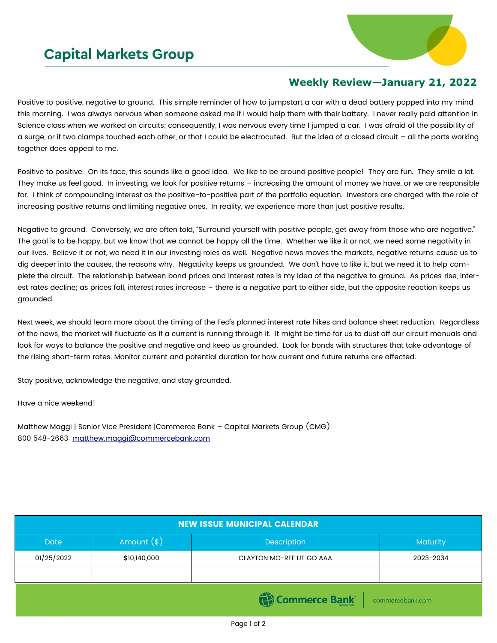## **Capital Markets Group**



## **Weekly Review—January 21, 2022**

Positive to positive, negative to ground. This simple reminder of how to jumpstart a car with a dead battery popped into my mind this morning. I was always nervous when someone asked me if I would help them with their battery. I never really paid attention in Science class when we worked on circuits; consequently, I was nervous every time I jumped a car. I was afraid of the possibility of a surge, or if two clamps touched each other, or that I could be electrocuted. But the idea of a closed circuit – all the parts working together does appeal to me.

Positive to positive. On its face, this sounds like a good idea. We like to be around positive people! They are fun. They smile a lot. They make us feel good. In investing, we look for positive returns – increasing the amount of money we have, or we are responsible for. I think of compounding interest as the positive-to-positive part of the portfolio equation. Investors are charged with the role of increasing positive returns and limiting negative ones. In reality, we experience more than just positive results.

Negative to ground. Conversely, we are often told, "Surround yourself with positive people, get away from those who are negative." The goal is to be happy, but we know that we cannot be happy all the time. Whether we like it or not, we need some negativity in our lives. Believe it or not, we need it in our investing roles as well. Negative news moves the markets, negative returns cause us to dig deeper into the causes, the reasons why. Negativity keeps us grounded. We don't have to like it, but we need it to help complete the circuit. The relationship between bond prices and interest rates is my idea of the negative to ground. As prices rise, interest rates decline; as prices fall, interest rates increase – there is a negative part to either side, but the opposite reaction keeps us grounded.

Next week, we should learn more about the timing of the Fed's planned interest rate hikes and balance sheet reduction. Regardless of the news, the market will fluctuate as if a current is running through it. It might be time for us to dust off our circuit manuals and look for ways to balance the positive and negative and keep us grounded. Look for bonds with structures that take advantage of the rising short-term rates. Monitor current and potential duration for how current and future returns are affected.

Stay positive, acknowledge the negative, and stay grounded.

Have a nice weekend!

Matthew Maggi | Senior Vice President |Commerce Bank – Capital Markets Group (CMG) 800 548-2663 [matthew.maggi@commercebank.com](mailto:matthew.maggi@commercebank.com)

| <b>NEW ISSUE MUNICIPAL CALENDAR</b> |              |                          |           |  |  |
|-------------------------------------|--------------|--------------------------|-----------|--|--|
| <b>Date</b>                         | Amount $(*)$ | <b>Description</b>       | Maturity  |  |  |
| 01/25/2022                          | \$10,140,000 | CLAYTON MO-REF UT GO AAA | 2023-2034 |  |  |
|                                     |              |                          |           |  |  |
| Commerce Bank<br>commercebank.com   |              |                          |           |  |  |